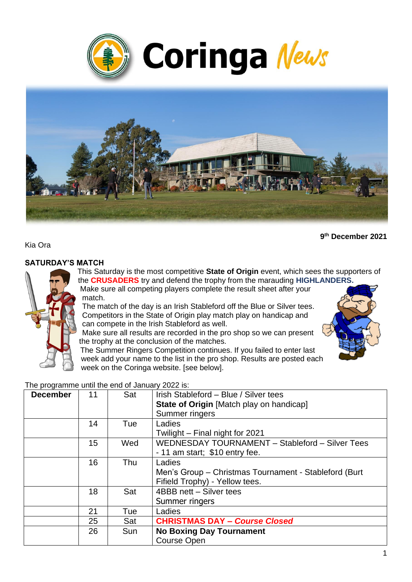



Kia Ora

#### **SATURDAY'S MATCH**

This Saturday is the most competitive **State of Origin** event, which sees the supporters of the **CRUSADERS** try and defend the trophy from the marauding **HIGHLANDERS.** 

Make sure all competing players complete the result sheet after your match.

The match of the day is an Irish Stableford off the Blue or Silver tees. Competitors in the State of Origin play match play on handicap and can compete in the Irish Stableford as well.

Make sure all results are recorded in the pro shop so we can present the trophy at the conclusion of the matches.



**9 th December 2021**

The Summer Ringers Competition continues. If you failed to enter last week add your name to the list in the pro shop. Results are posted each week on the Coringa website. [see below].

The programme until the end of January 2022 is:

| <b>December</b> | 11 | Sat | Irish Stableford - Blue / Silver tees                  |  |  |
|-----------------|----|-----|--------------------------------------------------------|--|--|
|                 |    |     | <b>State of Origin</b> [Match play on handicap]        |  |  |
|                 |    |     | Summer ringers                                         |  |  |
|                 | 14 | Tue | Ladies                                                 |  |  |
|                 |    |     | Twilight – Final night for 2021                        |  |  |
|                 | 15 | Wed | WEDNESDAY TOURNAMENT - Stableford - Silver Tees        |  |  |
|                 |    |     | - 11 am start; \$10 entry fee.                         |  |  |
|                 | 16 | Thu | Ladies                                                 |  |  |
|                 |    |     | Men's Group - Christmas Tournament - Stableford (Burt) |  |  |
|                 |    |     | Fifield Trophy) - Yellow tees.                         |  |  |
|                 | 18 | Sat | 4BBB nett - Silver tees                                |  |  |
|                 |    |     | Summer ringers                                         |  |  |
|                 | 21 | Tue | Ladies                                                 |  |  |
|                 | 25 | Sat | <b>CHRISTMAS DAY - Course Closed</b>                   |  |  |
|                 | 26 | Sun | <b>No Boxing Day Tournament</b>                        |  |  |
|                 |    |     | <b>Course Open</b>                                     |  |  |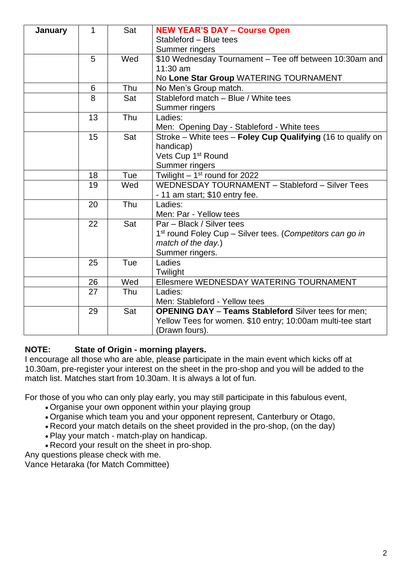| <b>January</b> | 1  | Sat | <b>NEW YEAR'S DAY - Course Open</b>                                   |  |  |
|----------------|----|-----|-----------------------------------------------------------------------|--|--|
|                |    |     | Stableford - Blue tees                                                |  |  |
|                |    |     | Summer ringers                                                        |  |  |
|                | 5  | Wed | \$10 Wednesday Tournament - Tee off between 10:30am and               |  |  |
|                |    |     | 11:30 am                                                              |  |  |
|                |    |     | No Lone Star Group WATERING TOURNAMENT                                |  |  |
|                | 6  | Thu | No Men's Group match.                                                 |  |  |
|                | 8  | Sat | Stableford match - Blue / White tees                                  |  |  |
|                |    |     | Summer ringers                                                        |  |  |
|                | 13 | Thu | Ladies:                                                               |  |  |
|                |    |     | Men: Opening Day - Stableford - White tees                            |  |  |
|                | 15 | Sat | Stroke – White tees – Foley Cup Qualifying (16 to qualify on          |  |  |
|                |    |     | handicap)                                                             |  |  |
|                |    |     | Vets Cup 1 <sup>st</sup> Round                                        |  |  |
|                |    |     | Summer ringers                                                        |  |  |
|                | 18 | Tue | Twilight $-1st$ round for 2022                                        |  |  |
|                | 19 | Wed | WEDNESDAY TOURNAMENT - Stableford - Silver Tees                       |  |  |
|                |    |     | - 11 am start; \$10 entry fee.                                        |  |  |
|                | 20 | Thu | Ladies:                                                               |  |  |
|                |    |     | Men: Par - Yellow tees                                                |  |  |
|                | 22 | Sat | Par - Black / Silver tees                                             |  |  |
|                |    |     | 1 <sup>st</sup> round Foley Cup - Silver tees. (Competitors can go in |  |  |
|                |    |     | match of the day.)                                                    |  |  |
|                |    |     | Summer ringers.                                                       |  |  |
|                | 25 | Tue | Ladies                                                                |  |  |
|                |    |     | Twilight                                                              |  |  |
|                | 26 | Wed | Ellesmere WEDNESDAY WATERING TOURNAMENT                               |  |  |
|                | 27 | Thu | Ladies:                                                               |  |  |
|                |    |     | Men: Stableford - Yellow tees                                         |  |  |
|                | 29 | Sat | <b>OPENING DAY - Teams Stableford Silver tees for men;</b>            |  |  |
|                |    |     | Yellow Tees for women. \$10 entry; 10:00am multi-tee start            |  |  |
|                |    |     | (Drawn fours).                                                        |  |  |

## **NOTE: State of Origin - morning players.**

I encourage all those who are able, please participate in the main event which kicks off at 10.30am, pre-register your interest on the sheet in the pro-shop and you will be added to the match list. Matches start from 10.30am. It is always a lot of fun.

For those of you who can only play early, you may still participate in this fabulous event,

- Organise your own opponent within your playing group
- Organise which team you and your opponent represent, Canterbury or Otago,
- Record your match details on the sheet provided in the pro-shop, (on the day)
- Play your match match-play on handicap.
- Record your result on the sheet in pro-shop.

Any questions please check with me.

Vance Hetaraka (for Match Committee)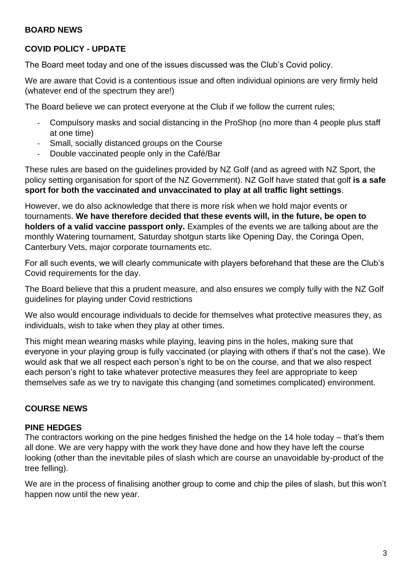#### **BOARD NEWS**

#### **COVID POLICY - UPDATE**

The Board meet today and one of the issues discussed was the Club's Covid policy.

We are aware that Covid is a contentious issue and often individual opinions are very firmly held (whatever end of the spectrum they are!)

The Board believe we can protect everyone at the Club if we follow the current rules;

- Compulsory masks and social distancing in the ProShop (no more than 4 people plus staff at one time)
- Small, socially distanced groups on the Course
- Double vaccinated people only in the Café/Bar

These rules are based on the guidelines provided by NZ Golf (and as agreed with NZ Sport, the policy setting organisation for sport of the NZ Government). NZ Golf have stated that golf **is a safe sport for both the vaccinated and unvaccinated to play at all traffic light settings**.

However, we do also acknowledge that there is more risk when we hold major events or tournaments. **We have therefore decided that these events will, in the future, be open to holders of a valid vaccine passport only.** Examples of the events we are talking about are the monthly Watering tournament, Saturday shotgun starts like Opening Day, the Coringa Open, Canterbury Vets, major corporate tournaments etc.

For all such events, we will clearly communicate with players beforehand that these are the Club's Covid requirements for the day.

The Board believe that this a prudent measure, and also ensures we comply fully with the NZ Golf guidelines for playing under Covid restrictions

We also would encourage individuals to decide for themselves what protective measures they, as individuals, wish to take when they play at other times.

This might mean wearing masks while playing, leaving pins in the holes, making sure that everyone in your playing group is fully vaccinated (or playing with others if that's not the case). We would ask that we all respect each person's right to be on the course, and that we also respect each person's right to take whatever protective measures they feel are appropriate to keep themselves safe as we try to navigate this changing (and sometimes complicated) environment.

#### **COURSE NEWS**

#### **PINE HEDGES**

The contractors working on the pine hedges finished the hedge on the 14 hole today – that's them all done. We are very happy with the work they have done and how they have left the course looking (other than the inevitable piles of slash which are course an unavoidable by-product of the tree felling).

We are in the process of finalising another group to come and chip the piles of slash, but this won't happen now until the new year.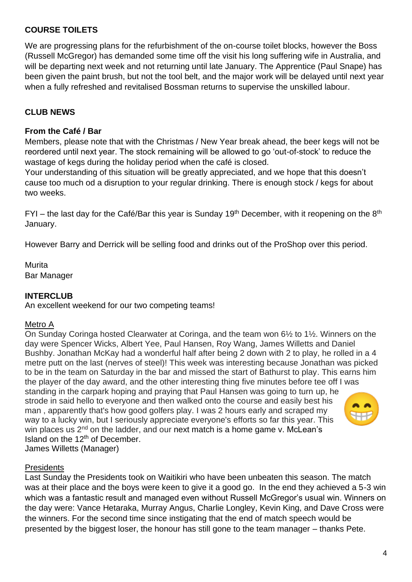## **COURSE TOILETS**

We are progressing plans for the refurbishment of the on-course toilet blocks, however the Boss (Russell McGregor) has demanded some time off the visit his long suffering wife in Australia, and will be departing next week and not returning until late January. The Apprentice (Paul Snape) has been given the paint brush, but not the tool belt, and the major work will be delayed until next year when a fully refreshed and revitalised Bossman returns to supervise the unskilled labour.

## **CLUB NEWS**

#### **From the Café / Bar**

Members, please note that with the Christmas / New Year break ahead, the beer kegs will not be reordered until next year. The stock remaining will be allowed to go 'out-of-stock' to reduce the wastage of kegs during the holiday period when the café is closed.

Your understanding of this situation will be greatly appreciated, and we hope that this doesn't cause too much od a disruption to your regular drinking. There is enough stock / kegs for about two weeks.

 $FYI$  – the last day for the Café/Bar this year is Sunday 19<sup>th</sup> December, with it reopening on the 8<sup>th</sup> January.

However Barry and Derrick will be selling food and drinks out of the ProShop over this period.

**Murita** Bar Manager

## **INTERCLUB**

An excellent weekend for our two competing teams!

#### Metro A

On Sunday Coringa hosted Clearwater at Coringa, and the team won 6½ to 1½. Winners on the day were Spencer Wicks, Albert Yee, Paul Hansen, Roy Wang, James Willetts and Daniel Bushby. Jonathan McKay had a wonderful half after being 2 down with 2 to play, he rolled in a 4 metre putt on the last (nerves of steel)! This week was interesting because Jonathan was picked to be in the team on Saturday in the bar and missed the start of Bathurst to play. This earns him the player of the day award, and the other interesting thing five minutes before tee off I was standing in the carpark hoping and praying that Paul Hansen was going to turn up, he strode in said hello to everyone and then walked onto the course and easily best his man , apparently that's how good golfers play. I was 2 hours early and scraped my way to a lucky win, but I seriously appreciate everyone's efforts so far this year. This win places us  $2<sup>nd</sup>$  on the ladder, and our next match is a home game v. McLean's Island on the 12<sup>th</sup> of December. James Willetts (Manager)

#### **Presidents**

Last Sunday the Presidents took on Waitikiri who have been unbeaten this season. The match was at their place and the boys were keen to give it a good go. In the end they achieved a 5-3 win which was a fantastic result and managed even without Russell McGregor's usual win. Winners on the day were: Vance Hetaraka, Murray Angus, Charlie Longley, Kevin King, and Dave Cross were the winners. For the second time since instigating that the end of match speech would be presented by the biggest loser, the honour has still gone to the team manager – thanks Pete.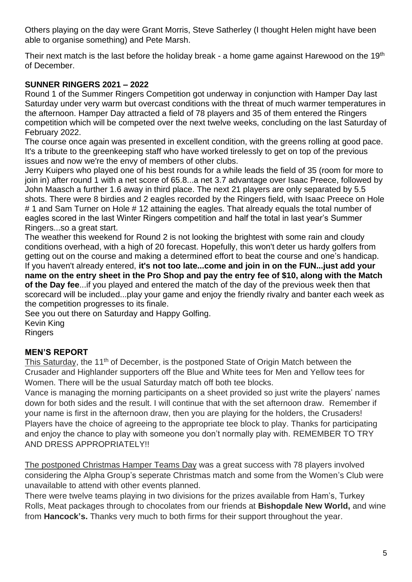Others playing on the day were Grant Morris, Steve Satherley (I thought Helen might have been able to organise something) and Pete Marsh.

Their next match is the last before the holiday break - a home game against Harewood on the 19<sup>th</sup> of December.

# **SUNNER RINGERS 2021 – 2022**

Round 1 of the Summer Ringers Competition got underway in conjunction with Hamper Day last Saturday under very warm but overcast conditions with the threat of much warmer temperatures in the afternoon. Hamper Day attracted a field of 78 players and 35 of them entered the Ringers competition which will be competed over the next twelve weeks, concluding on the last Saturday of February 2022.

The course once again was presented in excellent condition, with the greens rolling at good pace. It's a tribute to the greenkeeping staff who have worked tirelessly to get on top of the previous issues and now we're the envy of members of other clubs.

Jerry Kuipers who played one of his best rounds for a while leads the field of 35 (room for more to join in) after round 1 with a net score of 65.8...a net 3.7 advantage over Isaac Preece, followed by John Maasch a further 1.6 away in third place. The next 21 players are only separated by 5.5 shots. There were 8 birdies and 2 eagles recorded by the Ringers field, with Isaac Preece on Hole # 1 and Sam Turner on Hole # 12 attaining the eagles. That already equals the total number of eagles scored in the last Winter Ringers competition and half the total in last year's Summer Ringers...so a great start.

The weather this weekend for Round 2 is not looking the brightest with some rain and cloudy conditions overhead, with a high of 20 forecast. Hopefully, this won't deter us hardy golfers from getting out on the course and making a determined effort to beat the course and one's handicap. If you haven't already entered, **it's not too late...come and join in on the FUN...just add your name on the entry sheet in the Pro Shop and pay the entry fee of \$10, along with the Match of the Day fee**...if you played and entered the match of the day of the previous week then that scorecard will be included...play your game and enjoy the friendly rivalry and banter each week as the competition progresses to its finale.

See you out there on Saturday and Happy Golfing.

Kevin King Ringers

# **MEN'S REPORT**

This Saturday, the 11<sup>th</sup> of December, is the postponed State of Origin Match between the Crusader and Highlander supporters off the Blue and White tees for Men and Yellow tees for Women. There will be the usual Saturday match off both tee blocks.

Vance is managing the morning participants on a sheet provided so just write the players' names down for both sides and the result. I will continue that with the set afternoon draw. Remember if your name is first in the afternoon draw, then you are playing for the holders, the Crusaders! Players have the choice of agreeing to the appropriate tee block to play. Thanks for participating and enjoy the chance to play with someone you don't normally play with. REMEMBER TO TRY AND DRESS APPROPRIATELY!!

The postponed Christmas Hamper Teams Day was a great success with 78 players involved considering the Alpha Group's seperate Christmas match and some from the Women's Club were unavailable to attend with other events planned.

There were twelve teams playing in two divisions for the prizes available from Ham's, Turkey Rolls, Meat packages through to chocolates from our friends at **Bishopdale New World,** and wine from **Hancock's.** Thanks very much to both firms for their support throughout the year.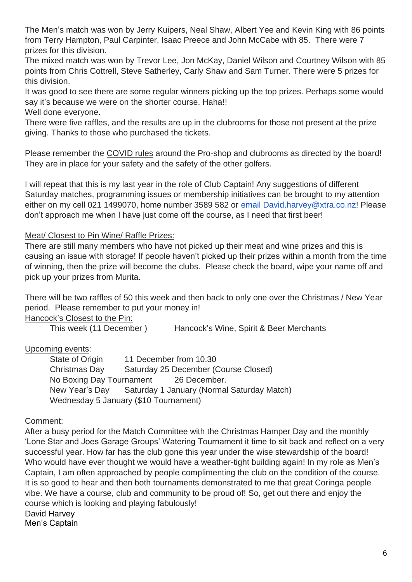The Men's match was won by Jerry Kuipers, Neal Shaw, Albert Yee and Kevin King with 86 points from Terry Hampton, Paul Carpinter, Isaac Preece and John McCabe with 85. There were 7 prizes for this division.

The mixed match was won by Trevor Lee, Jon McKay, Daniel Wilson and Courtney Wilson with 85 points from Chris Cottrell, Steve Satherley, Carly Shaw and Sam Turner. There were 5 prizes for this division.

It was good to see there are some regular winners picking up the top prizes. Perhaps some would say it's because we were on the shorter course. Haha!!

Well done everyone.

There were five raffles, and the results are up in the clubrooms for those not present at the prize giving. Thanks to those who purchased the tickets.

Please remember the COVID rules around the Pro-shop and clubrooms as directed by the board! They are in place for your safety and the safety of the other golfers.

I will repeat that this is my last year in the role of Club Captain! Any suggestions of different Saturday matches, programming issues or membership initiatives can be brought to my attention either on my cell 021 1499070, home number 3589 582 or [email David.harvey@xtra.co.nz!](mailto:David.harvey@xtra.co.nz) Please don't approach me when I have just come off the course, as I need that first beer!

## Meat/ Closest to Pin Wine/ Raffle Prizes:

There are still many members who have not picked up their meat and wine prizes and this is causing an issue with storage! If people haven't picked up their prizes within a month from the time of winning, then the prize will become the clubs. Please check the board, wipe your name off and pick up your prizes from Murita.

There will be two raffles of 50 this week and then back to only one over the Christmas / New Year period. Please remember to put your money in!

Hancock's Closest to the Pin:

This week (11 December ) Hancock's Wine, Spirit & Beer Merchants

## Upcoming events:

State of Origin 11 December from 10.30 Christmas Day Saturday 25 December (Course Closed) No Boxing Day Tournament 26 December. New Year's Day Saturday 1 January (Normal Saturday Match) Wednesday 5 January (\$10 Tournament)

## Comment:

After a busy period for the Match Committee with the Christmas Hamper Day and the monthly 'Lone Star and Joes Garage Groups' Watering Tournament it time to sit back and reflect on a very successful year. How far has the club gone this year under the wise stewardship of the board! Who would have ever thought we would have a weather-tight building again! In my role as Men's Captain, I am often approached by people complimenting the club on the condition of the course. It is so good to hear and then both tournaments demonstrated to me that great Coringa people vibe. We have a course, club and community to be proud of! So, get out there and enjoy the course which is looking and playing fabulously!

David Harvey

Men's Captain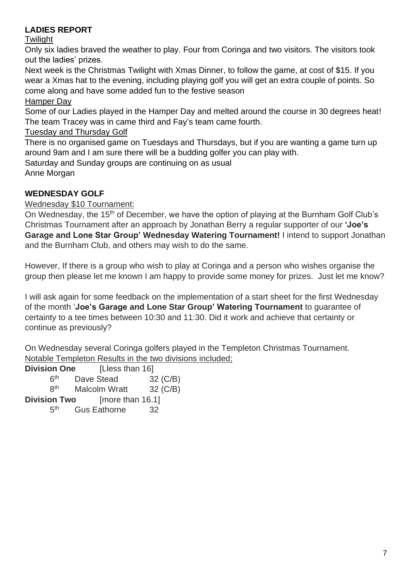# **LADIES REPORT**

## **Twilight**

Only six ladies braved the weather to play. Four from Coringa and two visitors. The visitors took out the ladies' prizes.

Next week is the Christmas Twilight with Xmas Dinner, to follow the game, at cost of \$15. If you wear a Xmas hat to the evening, including playing golf you will get an extra couple of points. So come along and have some added fun to the festive season

Hamper Day

Some of our Ladies played in the Hamper Day and melted around the course in 30 degrees heat! The team Tracey was in came third and Fay's team came fourth.

# Tuesday and Thursday Golf

There is no organised game on Tuesdays and Thursdays, but if you are wanting a game turn up around 9am and I am sure there will be a budding golfer you can play with.

Saturday and Sunday groups are continuing on as usual Anne Morgan

# **WEDNESDAY GOLF**

## Wednesday \$10 Tournament:

On Wednesday, the 15<sup>th</sup> of December, we have the option of playing at the Burnham Golf Club's Christmas Tournament after an approach by Jonathan Berry a regular supporter of our **'Joe's Garage and Lone Star Group' Wednesday Watering Tournament!** I intend to support Jonathan and the Burnham Club, and others may wish to do the same.

However, If there is a group who wish to play at Coringa and a person who wishes organise the group then please let me known I am happy to provide some money for prizes. Just let me know?

I will ask again for some feedback on the implementation of a start sheet for the first Wednesday of the month '**Joe's Garage and Lone Star Group' Watering Tournament** to guarantee of certainty to a tee times between 10:30 and 11:30. Did it work and achieve that certainty or continue as previously?

On Wednesday several Coringa golfers played in the Templeton Christmas Tournament. Notable Templeton Results in the two divisions included;

| <b>Division One</b> | [Lless than 16]      |                 |
|---------------------|----------------------|-----------------|
| 6 <sup>th</sup>     | Dave Stead           | 32 (C/B)        |
| <b>Rth</b>          | <b>Malcolm Wratt</b> | 32 (C/B)        |
| <b>Division Two</b> | [more than 16.1]     |                 |
| <b>д</b> th         | <b>Gus Eathorne</b>  | 32 <sup>-</sup> |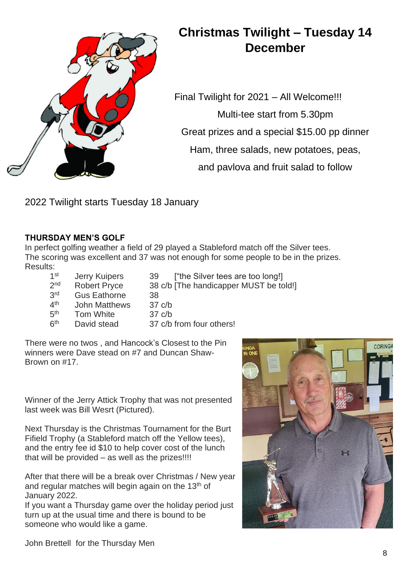

# **Christmas Twilight – Tuesday 14 December**

Final Twilight for 2021 – All Welcome!!! Multi-tee start from 5.30pm Great prizes and a special \$15.00 pp dinner Ham, three salads, new potatoes, peas, and pavlova and fruit salad to follow

2022 Twilight starts Tuesday 18 January

## **THURSDAY MEN'S GOLF**

In perfect golfing weather a field of 29 played a Stableford match off the Silver tees. The scoring was excellent and 37 was not enough for some people to be in the prizes. Results:

 $1<sup>st</sup>$ Jerry Kuipers 39 ["the Silver tees are too long!]  $2<sub>nd</sub>$ Robert Pryce 38 c/b [The handicapper MUST be told!]  $2rd$ Gus Eathorne 38  $4<sup>th</sup>$ John Matthews 37 c/b  $5<sup>th</sup>$ Tom White 37 c/b  $6<sup>th</sup>$ David stead 37 c/b from four others!

There were no twos , and Hancock's Closest to the Pin winners were Dave stead on #7 and Duncan Shaw-Brown on #17.

Winner of the Jerry Attick Trophy that was not presented last week was Bill Wesrt (Pictured).

Next Thursday is the Christmas Tournament for the Burt Fifield Trophy (a Stableford match off the Yellow tees), and the entry fee id \$10 to help cover cost of the lunch that will be provided – as well as the prizes!!!!

After that there will be a break over Christmas / New year and regular matches will begin again on the 13th of January 2022.

If you want a Thursday game over the holiday period just turn up at the usual time and there is bound to be someone who would like a game.



John Brettell for the Thursday Men